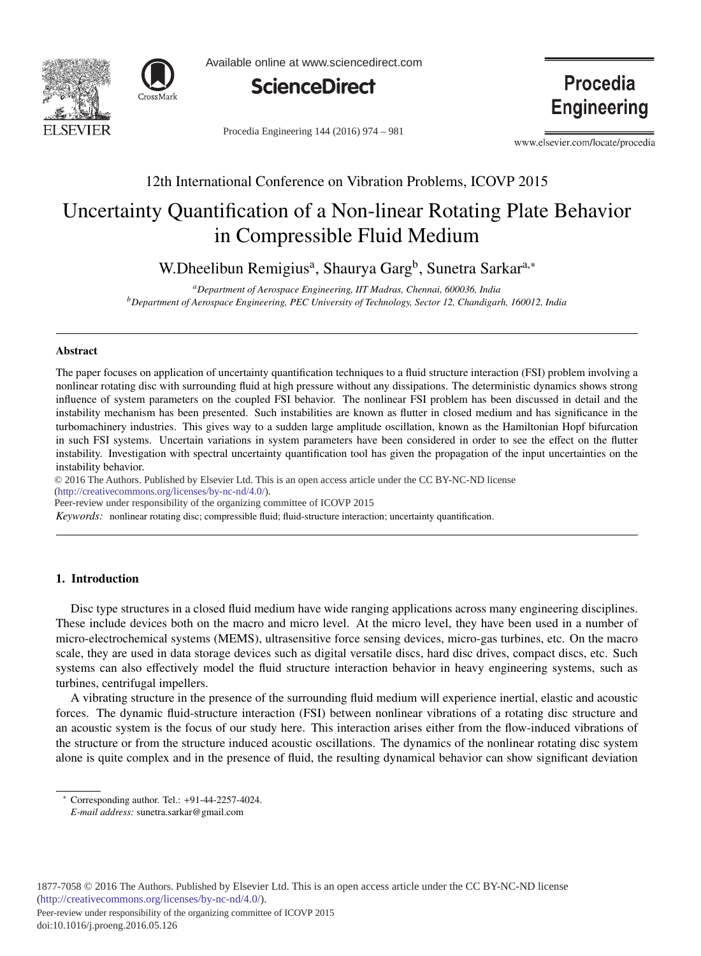



Available online at www.sciencedirect.com



Procedia Engineering 144 (2016) 974 - 981

Procedia **Engineering** 

www.elsevier.com/locate/procedia

# 12th International Conference on Vibration Problems, ICOVP 2015

# Uncertainty Quantification of a Non-linear Rotating Plate Behavior in Compressible Fluid Medium

W.Dheelibun Remigius<sup>a</sup>, Shaurya Garg<sup>b</sup>, Sunetra Sarkar<sup>a,∗</sup>

*aDepartment of Aerospace Engineering, IIT Madras, Chennai, 600036, India bDepartment of Aerospace Engineering, PEC University of Technology, Sector 12, Chandigarh, 160012, India*

## Abstract

The paper focuses on application of uncertainty quantification techniques to a fluid structure interaction (FSI) problem involving a nonlinear rotating disc with surrounding fluid at high pressure without any dissipations. The deterministic dynamics shows strong influence of system parameters on the coupled FSI behavior. The nonlinear FSI problem has been discussed in detail and the instability mechanism has been presented. Such instabilities are known as flutter in closed medium and has significance in the turbomachinery industries. This gives way to a sudden large amplitude oscillation, known as the Hamiltonian Hopf bifurcation in such FSI systems. Uncertain variations in system parameters have been considered in order to see the effect on the flutter instability. Investigation with spectral uncertainty quantification tool has given the propagation of the input uncertainties on the instability behavior.

c 2016 The Authors. Published by Elsevier Ltd. © 2016 The Authors. Published by Elsevier Ltd. This is an open access article under the CC BY-NC-ND license

 $(\text{http://creativecommons.org/licenses/by-nc-nd/4.0/}).$ 

Peer-review under responsibility of the organizing committee of ICOVP 2015

*Keywords:* nonlinear rotating disc; compressible fluid; fluid-structure interaction; uncertainty quantification.

# 1. Introduction

Disc type structures in a closed fluid medium have wide ranging applications across many engineering disciplines. These include devices both on the macro and micro level. At the micro level, they have been used in a number of micro-electrochemical systems (MEMS), ultrasensitive force sensing devices, micro-gas turbines, etc. On the macro scale, they are used in data storage devices such as digital versatile discs, hard disc drives, compact discs, etc. Such systems can also effectively model the fluid structure interaction behavior in heavy engineering systems, such as turbines, centrifugal impellers.

A vibrating structure in the presence of the surrounding fluid medium will experience inertial, elastic and acoustic forces. The dynamic fluid-structure interaction (FSI) between nonlinear vibrations of a rotating disc structure and an acoustic system is the focus of our study here. This interaction arises either from the flow-induced vibrations of the structure or from the structure induced acoustic oscillations. The dynamics of the nonlinear rotating disc system alone is quite complex and in the presence of fluid, the resulting dynamical behavior can show significant deviation

<sup>∗</sup> Corresponding author. Tel.: +91-44-2257-4024.

*E-mail address:* sunetra.sarkar@gmail.com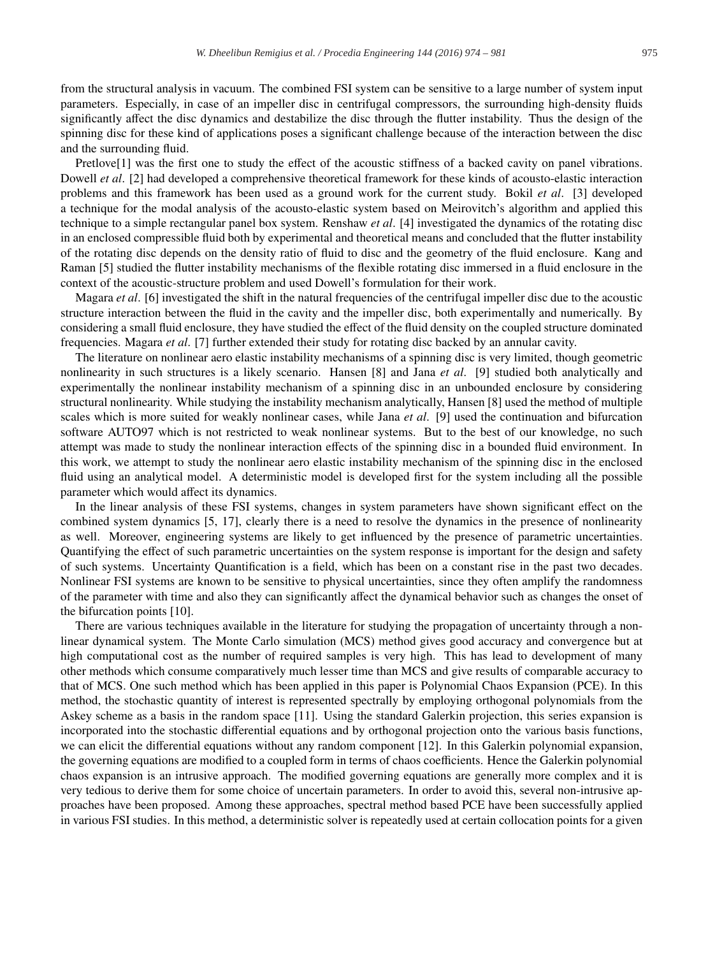from the structural analysis in vacuum. The combined FSI system can be sensitive to a large number of system input parameters. Especially, in case of an impeller disc in centrifugal compressors, the surrounding high-density fluids significantly affect the disc dynamics and destabilize the disc through the flutter instability. Thus the design of the spinning disc for these kind of applications poses a significant challenge because of the interaction between the disc and the surrounding fluid.

Pretlove<sup>[1]</sup> was the first one to study the effect of the acoustic stiffness of a backed cavity on panel vibrations. Dowell *et al*. [2] had developed a comprehensive theoretical framework for these kinds of acousto-elastic interaction problems and this framework has been used as a ground work for the current study. Bokil *et al*. [3] developed a technique for the modal analysis of the acousto-elastic system based on Meirovitch's algorithm and applied this technique to a simple rectangular panel box system. Renshaw *et al*. [4] investigated the dynamics of the rotating disc in an enclosed compressible fluid both by experimental and theoretical means and concluded that the flutter instability of the rotating disc depends on the density ratio of fluid to disc and the geometry of the fluid enclosure. Kang and Raman [5] studied the flutter instability mechanisms of the flexible rotating disc immersed in a fluid enclosure in the context of the acoustic-structure problem and used Dowell's formulation for their work.

Magara *et al*. [6] investigated the shift in the natural frequencies of the centrifugal impeller disc due to the acoustic structure interaction between the fluid in the cavity and the impeller disc, both experimentally and numerically. By considering a small fluid enclosure, they have studied the effect of the fluid density on the coupled structure dominated frequencies. Magara *et al*. [7] further extended their study for rotating disc backed by an annular cavity.

The literature on nonlinear aero elastic instability mechanisms of a spinning disc is very limited, though geometric nonlinearity in such structures is a likely scenario. Hansen [8] and Jana *et al*. [9] studied both analytically and experimentally the nonlinear instability mechanism of a spinning disc in an unbounded enclosure by considering structural nonlinearity. While studying the instability mechanism analytically, Hansen [8] used the method of multiple scales which is more suited for weakly nonlinear cases, while Jana *et al*. [9] used the continuation and bifurcation software AUTO97 which is not restricted to weak nonlinear systems. But to the best of our knowledge, no such attempt was made to study the nonlinear interaction effects of the spinning disc in a bounded fluid environment. In this work, we attempt to study the nonlinear aero elastic instability mechanism of the spinning disc in the enclosed fluid using an analytical model. A deterministic model is developed first for the system including all the possible parameter which would affect its dynamics.

In the linear analysis of these FSI systems, changes in system parameters have shown significant effect on the combined system dynamics [5, 17], clearly there is a need to resolve the dynamics in the presence of nonlinearity as well. Moreover, engineering systems are likely to get influenced by the presence of parametric uncertainties. Quantifying the effect of such parametric uncertainties on the system response is important for the design and safety of such systems. Uncertainty Quantification is a field, which has been on a constant rise in the past two decades. Nonlinear FSI systems are known to be sensitive to physical uncertainties, since they often amplify the randomness of the parameter with time and also they can significantly affect the dynamical behavior such as changes the onset of the bifurcation points [10].

There are various techniques available in the literature for studying the propagation of uncertainty through a nonlinear dynamical system. The Monte Carlo simulation (MCS) method gives good accuracy and convergence but at high computational cost as the number of required samples is very high. This has lead to development of many other methods which consume comparatively much lesser time than MCS and give results of comparable accuracy to that of MCS. One such method which has been applied in this paper is Polynomial Chaos Expansion (PCE). In this method, the stochastic quantity of interest is represented spectrally by employing orthogonal polynomials from the Askey scheme as a basis in the random space [11]. Using the standard Galerkin projection, this series expansion is incorporated into the stochastic differential equations and by orthogonal projection onto the various basis functions, we can elicit the differential equations without any random component [12]. In this Galerkin polynomial expansion, the governing equations are modified to a coupled form in terms of chaos coefficients. Hence the Galerkin polynomial chaos expansion is an intrusive approach. The modified governing equations are generally more complex and it is very tedious to derive them for some choice of uncertain parameters. In order to avoid this, several non-intrusive approaches have been proposed. Among these approaches, spectral method based PCE have been successfully applied in various FSI studies. In this method, a deterministic solver is repeatedly used at certain collocation points for a given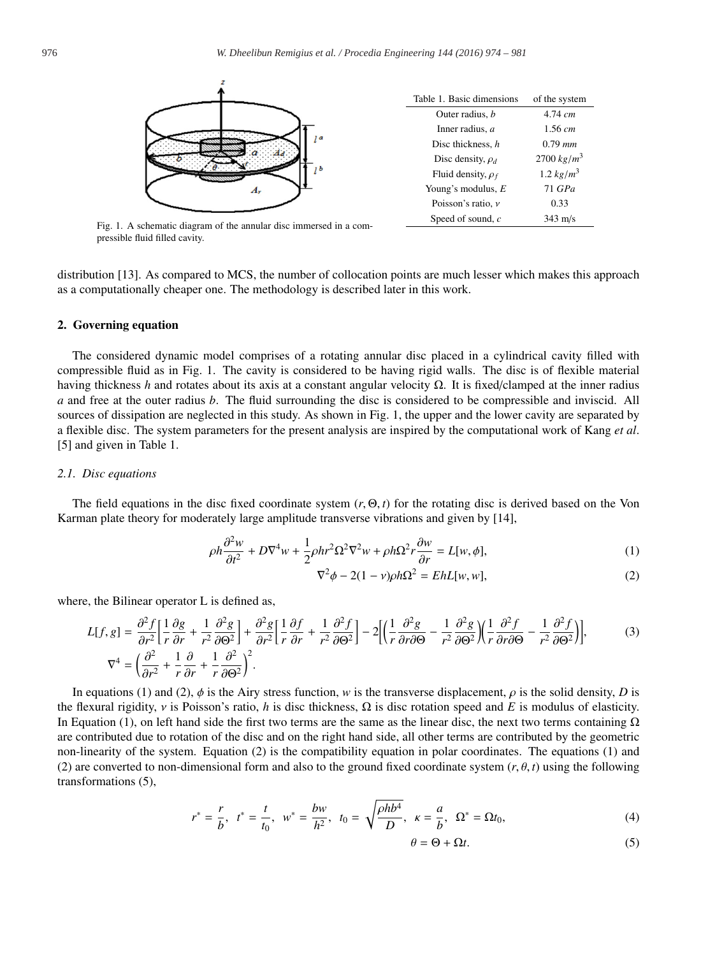

| Table 1. Basic dimensions | of the system       |
|---------------------------|---------------------|
| Outer radius, <i>b</i>    | 4.74 cm             |
| Inner radius, a           | $1.56 \, \text{cm}$ |
| Disc thickness, h         | $0.79$ mm           |
| Disc density, $\rho_d$    | 2700 $kg/m^3$       |
| Fluid density, $\rho_f$   | 1.2 $kg/m^3$        |
| Young's modulus, $E$      | $71 \text{ } GPa$   |
| Poisson's ratio, $\nu$    | 0.33                |
| Speed of sound, $c$       | $343 \text{ m/s}$   |

Fig. 1. A schematic diagram of the annular disc immersed in a compressible fluid filled cavity.

distribution [13]. As compared to MCS, the number of collocation points are much lesser which makes this approach as a computationally cheaper one. The methodology is described later in this work.

# 2. Governing equation

The considered dynamic model comprises of a rotating annular disc placed in a cylindrical cavity filled with compressible fluid as in Fig. 1. The cavity is considered to be having rigid walls. The disc is of flexible material having thickness *h* and rotates about its axis at a constant angular velocity Ω. It is fixed/clamped at the inner radius *a* and free at the outer radius *b*. The fluid surrounding the disc is considered to be compressible and inviscid. All sources of dissipation are neglected in this study. As shown in Fig. 1, the upper and the lower cavity are separated by a flexible disc. The system parameters for the present analysis are inspired by the computational work of Kang *et al*. [5] and given in Table 1.

#### *2.1. Disc equations*

The field equations in the disc fixed coordinate system  $(r, \Theta, t)$  for the rotating disc is derived based on the Von Karman plate theory for moderately large amplitude transverse vibrations and given by [14],

$$
\rho h \frac{\partial^2 w}{\partial t^2} + D \nabla^4 w + \frac{1}{2} \rho h r^2 \Omega^2 \nabla^2 w + \rho h \Omega^2 r \frac{\partial w}{\partial r} = L[w, \phi],\tag{1}
$$

$$
\nabla^2 \phi - 2(1 - v)\rho h \Omega^2 = EhL[w, w],\tag{2}
$$

where, the Bilinear operator L is defined as,

$$
L[f, g] = \frac{\partial^2 f}{\partial r^2} \left[ \frac{1}{r} \frac{\partial g}{\partial r} + \frac{1}{r^2} \frac{\partial^2 g}{\partial \Theta^2} \right] + \frac{\partial^2 g}{\partial r^2} \left[ \frac{1}{r} \frac{\partial f}{\partial r} + \frac{1}{r^2} \frac{\partial^2 f}{\partial \Theta^2} \right] - 2 \left[ \left( \frac{1}{r} \frac{\partial^2 g}{\partial r \partial \Theta} - \frac{1}{r^2} \frac{\partial^2 g}{\partial \Theta^2} \right) \left( \frac{1}{r} \frac{\partial^2 f}{\partial r \partial \Theta} - \frac{1}{r^2} \frac{\partial^2 f}{\partial \Theta^2} \right) \right],
$$
(3)  

$$
\nabla^4 = \left( \frac{\partial^2}{\partial r^2} + \frac{1}{r} \frac{\partial}{\partial r} + \frac{1}{r} \frac{\partial^2}{\partial \Theta^2} \right)^2.
$$

In equations (1) and (2),  $\phi$  is the Airy stress function, *w* is the transverse displacement,  $\rho$  is the solid density, *D* is the flexural rigidity,  $\nu$  is Poisson's ratio, *h* is disc thickness,  $\Omega$  is disc rotation speed and *E* is modulus of elasticity. In Equation (1), on left hand side the first two terms are the same as the linear disc, the next two terms containing  $\Omega$ are contributed due to rotation of the disc and on the right hand side, all other terms are contributed by the geometric non-linearity of the system. Equation (2) is the compatibility equation in polar coordinates. The equations (1) and (2) are converted to non-dimensional form and also to the ground fixed coordinate system  $(r, \theta, t)$  using the following transformations (5),

$$
r^* = \frac{r}{b}, \ t^* = \frac{t}{t_0}, \ w^* = \frac{bw}{h^2}, \ t_0 = \sqrt{\frac{\rho h b^4}{D}}, \ \kappa = \frac{a}{b}, \ \Omega^* = \Omega t_0,
$$
 (4)

$$
\theta = \Theta + \Omega t. \tag{5}
$$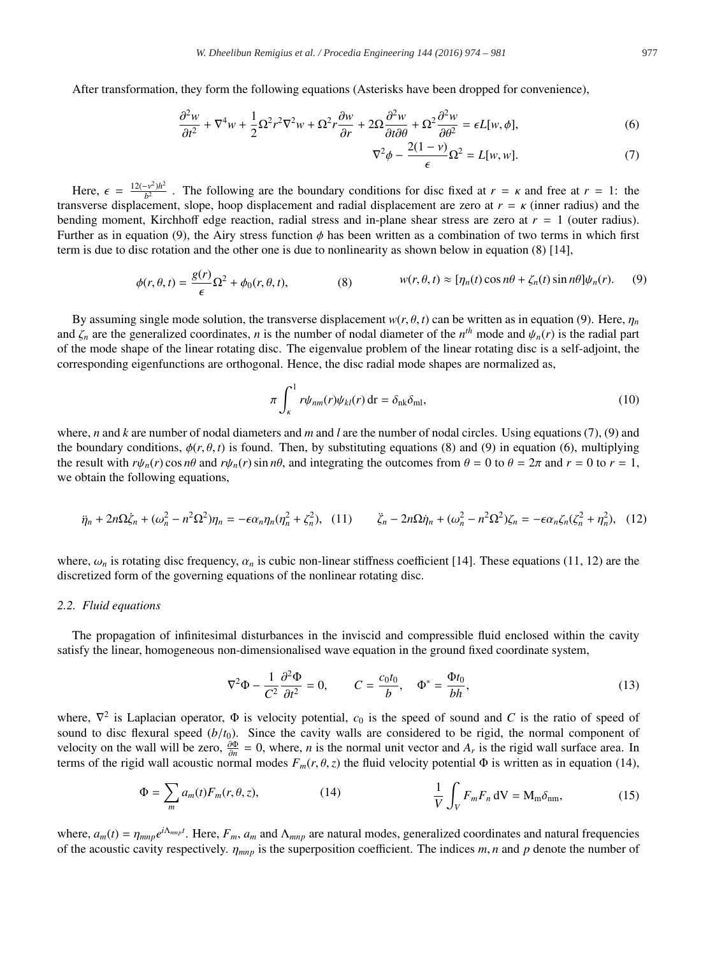After transformation, they form the following equations (Asterisks have been dropped for convenience),

$$
\frac{\partial^2 w}{\partial t^2} + \nabla^4 w + \frac{1}{2} \Omega^2 r^2 \nabla^2 w + \Omega^2 r \frac{\partial w}{\partial r} + 2\Omega \frac{\partial^2 w}{\partial t \partial \theta} + \Omega^2 \frac{\partial^2 w}{\partial \theta^2} = \epsilon L[w, \phi],
$$
\n(6)

$$
\nabla^2 \phi - \frac{2(1 - v)}{\epsilon} \Omega^2 = L[w, w]. \tag{7}
$$

Here,  $\epsilon = \frac{12(-v^2)h^2}{b^2}$ . The following are the boundary conditions for disc fixed at  $r = \kappa$  and free at  $r = 1$ : the transverse displacement, slope, hoop displacement and radial displacement are zero at  $r = \kappa$  (inner radius) and the bending moment, Kirchhoff edge reaction, radial stress and in-plane shear stress are zero at  $r = 1$  (outer radius). Further as in equation (9), the Airy stress function  $\phi$  has been written as a combination of two terms in which first term is due to disc rotation and the other one is due to nonlinearity as shown below in equation (8) [14],

$$
\phi(r,\theta,t) = \frac{g(r)}{\epsilon} \Omega^2 + \phi_0(r,\theta,t), \qquad (8) \qquad w(r,\theta,t) \approx [\eta_n(t)\cos n\theta + \zeta_n(t)\sin n\theta]\psi_n(r). \qquad (9)
$$

By assuming single mode solution, the transverse displacement  $w(r, \theta, t)$  can be written as in equation (9). Here,  $\eta_n$ and  $\zeta_n$  are the generalized coordinates, *n* is the number of nodal diameter of the *n<sup>th</sup>* mode and  $\psi_n(r)$  is the radial part of the mode shape of the linear rotating disc. The eigenvalue problem of the linear rotating disc is a self-adjoint, the corresponding eigenfunctions are orthogonal. Hence, the disc radial mode shapes are normalized as,

$$
\pi \int_{\kappa}^{1} r \psi_{nm}(r) \psi_{kl}(r) dr = \delta_{nk} \delta_{ml}, \qquad (10)
$$

where, *n* and *k* are number of nodal diameters and *m* and *l* are the number of nodal circles. Using equations (7), (9) and the boundary conditions,  $\phi(r, \theta, t)$  is found. Then, by substituting equations (8) and (9) in equation (6), multiplying the result with  $r\psi_n(r)\cos n\theta$  and  $r\psi_n(r)\sin n\theta$ , and integrating the outcomes from  $\theta = 0$  to  $\theta = 2\pi$  and  $r = 0$  to  $r = 1$ , we obtain the following equations,

$$
\ddot{\eta}_n + 2n\Omega\dot{\zeta}_n + (\omega_n^2 - n^2\Omega^2)\eta_n = -\epsilon\alpha_n\eta_n(\eta_n^2 + \zeta_n^2), \quad (11) \qquad \ddot{\zeta}_n - 2n\Omega\dot{\eta}_n + (\omega_n^2 - n^2\Omega^2)\zeta_n = -\epsilon\alpha_n\zeta_n(\zeta_n^2 + \eta_n^2), \quad (12)
$$

where,  $\omega_n$  is rotating disc frequency,  $\alpha_n$  is cubic non-linear stiffness coefficient [14]. These equations (11, 12) are the discretized form of the governing equations of the nonlinear rotating disc.

# *2.2. Fluid equations*

The propagation of infinitesimal disturbances in the inviscid and compressible fluid enclosed within the cavity satisfy the linear, homogeneous non-dimensionalised wave equation in the ground fixed coordinate system,

$$
\nabla^2 \Phi - \frac{1}{C^2} \frac{\partial^2 \Phi}{\partial t^2} = 0, \qquad C = \frac{c_0 t_0}{b}, \quad \Phi^* = \frac{\Phi t_0}{bh}, \tag{13}
$$

where,  $\nabla^2$  is Laplacian operator,  $\Phi$  is velocity potential,  $c_0$  is the speed of sound and *C* is the ratio of speed of sound to disc flexural speed  $(b/t_0)$ . Since the cavity walls are considered to be rigid, the normal component of velocity on the wall will be zero,  $\frac{\partial \Phi}{\partial n} = 0$ , where, *n* is the normal unit vector and  $A_r$  is the rigid wall surface area. In terms of the rigid wall acoustic normal modes  $F_m(r, \theta, z)$  the fluid velocity potential  $\Phi$  is written as in equation (14),

$$
\Phi = \sum_{m} a_m(t) F_m(r, \theta, z), \qquad (14) \qquad \frac{1}{V} \int_V F_m F_n \, dV = M_m \delta_{nm}, \qquad (15)
$$

where,  $a_m(t) = \eta_{mnp} e^{i\Lambda_{mnp}t}$ . Here,  $F_m$ ,  $a_m$  and  $\Lambda_{mnp}$  are natural modes, generalized coordinates and natural frequencies of the acoustic cavity respectively.  $\eta_{mnp}$  is the superposition coefficient. The indices  $m, n$  and  $p$  denote the number of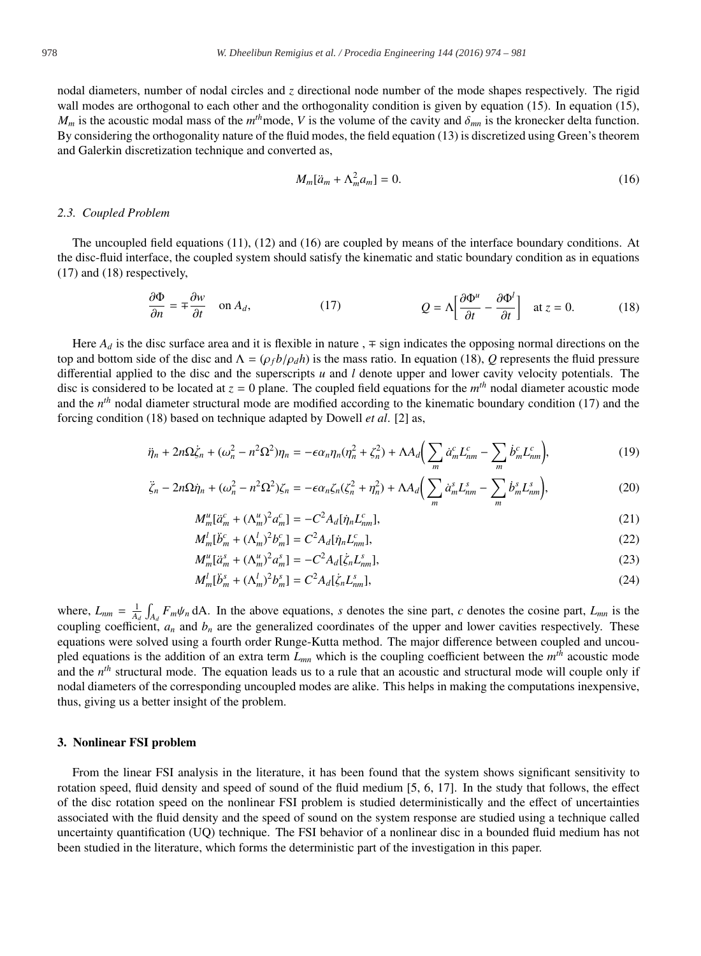nodal diameters, number of nodal circles and *z* directional node number of the mode shapes respectively. The rigid wall modes are orthogonal to each other and the orthogonality condition is given by equation (15). In equation (15),  $M_m$  is the acoustic modal mass of the  $m<sup>th</sup>$ mode, *V* is the volume of the cavity and  $\delta_{mn}$  is the kronecker delta function. By considering the orthogonality nature of the fluid modes, the field equation (13) is discretized using Green's theorem and Galerkin discretization technique and converted as,

$$
M_m[\ddot{a}_m + \Lambda_m^2 a_m] = 0. \tag{16}
$$

#### *2.3. Coupled Problem*

The uncoupled field equations (11), (12) and (16) are coupled by means of the interface boundary conditions. At the disc-fluid interface, the coupled system should satisfy the kinematic and static boundary condition as in equations (17) and (18) respectively,

$$
\frac{\partial \Phi}{\partial n} = \pm \frac{\partial w}{\partial t} \quad \text{on } A_d,
$$
\n(17) 
$$
Q = \Lambda \left[ \frac{\partial \Phi^u}{\partial t} - \frac{\partial \Phi^l}{\partial t} \right] \quad \text{at } z = 0.
$$
\n(18)

Here  $A_d$  is the disc surface area and it is flexible in nature ,  $\mp$  sign indicates the opposing normal directions on the top and bottom side of the disc and  $\Lambda = (\rho_f b/\rho_d h)$  is the mass ratio. In equation (18), *Q* represents the fluid pressure differential applied to the disc and the superscripts *u* and *l* denote upper and lower cavity velocity potentials. The disc is considered to be located at  $z = 0$  plane. The coupled field equations for the  $m<sup>th</sup>$  nodal diameter acoustic mode and the *nth* nodal diameter structural mode are modified according to the kinematic boundary condition (17) and the forcing condition (18) based on technique adapted by Dowell *et al*. [2] as,

$$
\ddot{\eta}_n + 2n\Omega \dot{\zeta}_n + (\omega_n^2 - n^2 \Omega^2) \eta_n = -\epsilon \alpha_n \eta_n (\eta_n^2 + \zeta_n^2) + \Lambda A_d \bigg( \sum_m \dot{a}_m^c L_{nm}^c - \sum_m \dot{b}_m^c L_{nm}^c \bigg),\tag{19}
$$

$$
\ddot{\zeta}_n - 2n\Omega \dot{\eta}_n + (\omega_n^2 - n^2 \Omega^2) \zeta_n = -\epsilon \alpha_n \zeta_n (\zeta_n^2 + \eta_n^2) + \Lambda A_d \bigg( \sum_m \dot{\alpha}_m^s L_{nm}^s - \sum_m \dot{b}_m^s L_{nm}^s \bigg),\tag{20}
$$

$$
M_m^u[\ddot{a}_m^c + (\Lambda_m^u)^2 a_m^c] = -C^2 A_d[\dot{\eta}_n L_{nm}^c],\tag{21}
$$

$$
M_m^l [\ddot{b}_m^c + (\Lambda_m^l)^2 b_m^c] = C^2 A_d [\dot{\eta}_n L_{nm}^c],\tag{22}
$$

$$
M_m^u[\ddot{a}_m^s + (\Lambda_m^u)^2 a_m^s] = -C^2 A_d[\dot{\zeta}_n L_{nm}^s],\tag{23}
$$

$$
M_m^l[\ddot{b}_m^s + (\Lambda_m^l)^2 b_m^s] = C^2 A_d[\dot{\zeta}_n L_{nm}^s],\tag{24}
$$

where,  $L_{nm} = \frac{1}{A_d} \int_{A_d} F_m \psi_n dA$ . In the above equations, *s* denotes the sine part, *c* denotes the cosine part,  $L_{mn}$  is the coupling coefficient,  $a_n$  and  $b_n$  are the generalized coordinates of the upper and lower cavities respectively. These equations were solved using a fourth order Runge-Kutta method. The major difference between coupled and uncoupled equations is the addition of an extra term *Lmn* which is the coupling coefficient between the *mth* acoustic mode and the  $n<sup>th</sup>$  structural mode. The equation leads us to a rule that an acoustic and structural mode will couple only if nodal diameters of the corresponding uncoupled modes are alike. This helps in making the computations inexpensive, thus, giving us a better insight of the problem.

## 3. Nonlinear FSI problem

From the linear FSI analysis in the literature, it has been found that the system shows significant sensitivity to rotation speed, fluid density and speed of sound of the fluid medium [5, 6, 17]. In the study that follows, the effect of the disc rotation speed on the nonlinear FSI problem is studied deterministically and the effect of uncertainties associated with the fluid density and the speed of sound on the system response are studied using a technique called uncertainty quantification (UQ) technique. The FSI behavior of a nonlinear disc in a bounded fluid medium has not been studied in the literature, which forms the deterministic part of the investigation in this paper.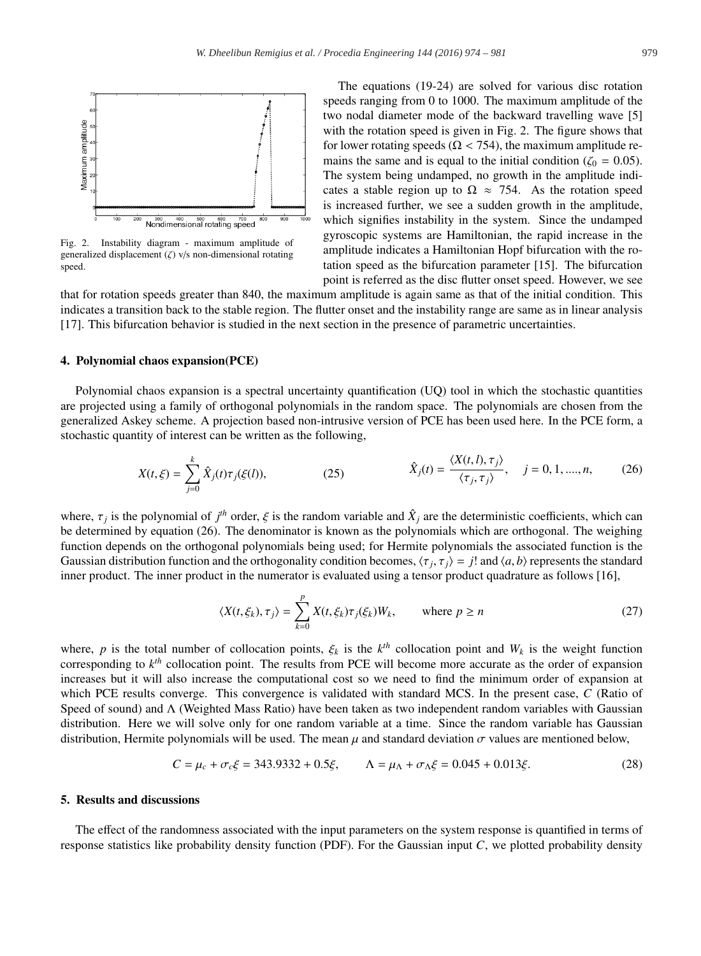

Fig. 2. Instability diagram - maximum amplitude of generalized displacement  $(\zeta)$  v/s non-dimensional rotating speed.

The equations (19-24) are solved for various disc rotation speeds ranging from 0 to 1000. The maximum amplitude of the two nodal diameter mode of the backward travelling wave [5] with the rotation speed is given in Fig. 2. The figure shows that for lower rotating speeds ( $\Omega$  < 754), the maximum amplitude remains the same and is equal to the initial condition ( $\zeta_0 = 0.05$ ). The system being undamped, no growth in the amplitude indicates a stable region up to  $\Omega \approx 754$ . As the rotation speed is increased further, we see a sudden growth in the amplitude, which signifies instability in the system. Since the undamped gyroscopic systems are Hamiltonian, the rapid increase in the amplitude indicates a Hamiltonian Hopf bifurcation with the rotation speed as the bifurcation parameter [15]. The bifurcation point is referred as the disc flutter onset speed. However, we see

that for rotation speeds greater than 840, the maximum amplitude is again same as that of the initial condition. This indicates a transition back to the stable region. The flutter onset and the instability range are same as in linear analysis [17]. This bifurcation behavior is studied in the next section in the presence of parametric uncertainties.

#### 4. Polynomial chaos expansion(PCE)

Polynomial chaos expansion is a spectral uncertainty quantification (UQ) tool in which the stochastic quantities are projected using a family of orthogonal polynomials in the random space. The polynomials are chosen from the generalized Askey scheme. A projection based non-intrusive version of PCE has been used here. In the PCE form, a stochastic quantity of interest can be written as the following,

$$
X(t,\xi) = \sum_{j=0}^{k} \hat{X}_j(t)\tau_j(\xi(l)),
$$
 (25)  $\hat{X}_j(t) = \frac{\langle X(t,l), \tau_j \rangle}{\langle \tau_j, \tau_j \rangle}, \quad j = 0, 1, ..., n,$  (26)

where,  $\tau_j$  is the polynomial of  $j^{th}$  order,  $\xi$  is the random variable and  $\hat{X}_j$  are the deterministic coefficients, which can be determined by equation (26). The denominator is known as the polynomials which are orthogonal. The weighing function depends on the orthogonal polynomials being used; for Hermite polynomials the associated function is the Gaussian distribution function and the orthogonality condition becomes,  $\langle \tau_j, \tau_j \rangle = j!$  and  $\langle a, b \rangle$  represents the standard inner product. The inner product in the numerator is evaluated using a tensor product quadrature as follows [16],

$$
\langle X(t,\xi_k),\tau_j\rangle = \sum_{k=0}^p X(t,\xi_k)\tau_j(\xi_k)W_k, \qquad \text{where } p \ge n \tag{27}
$$

where, *p* is the total number of collocation points,  $\xi_k$  is the  $k^{th}$  collocation point and  $W_k$  is the weight function corresponding to *kth* collocation point. The results from PCE will become more accurate as the order of expansion increases but it will also increase the computational cost so we need to find the minimum order of expansion at which PCE results converge. This convergence is validated with standard MCS. In the present case, *C* (Ratio of Speed of sound) and Λ (Weighted Mass Ratio) have been taken as two independent random variables with Gaussian distribution. Here we will solve only for one random variable at a time. Since the random variable has Gaussian distribution, Hermite polynomials will be used. The mean  $\mu$  and standard deviation  $\sigma$  values are mentioned below,

$$
C = \mu_c + \sigma_c \xi = 343.9332 + 0.5\xi, \qquad \Lambda = \mu_\Lambda + \sigma_\Lambda \xi = 0.045 + 0.013\xi. \tag{28}
$$

#### 5. Results and discussions

The effect of the randomness associated with the input parameters on the system response is quantified in terms of response statistics like probability density function (PDF). For the Gaussian input *C*, we plotted probability density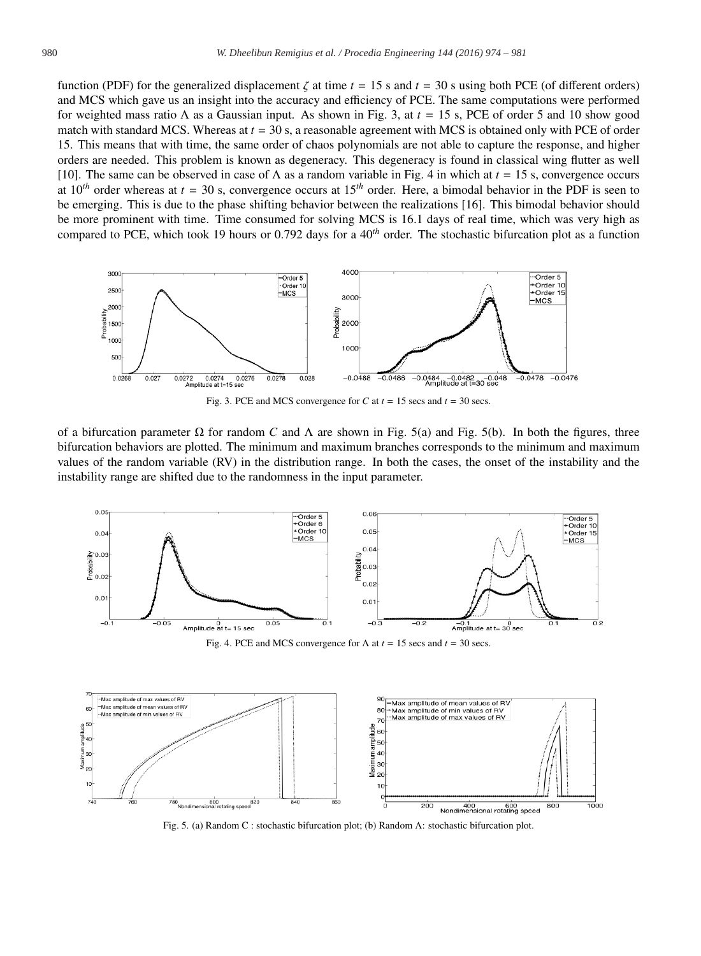function (PDF) for the generalized displacement  $\zeta$  at time  $t = 15$  s and  $t = 30$  s using both PCE (of different orders) and MCS which gave us an insight into the accuracy and efficiency of PCE. The same computations were performed for weighted mass ratio Λ as a Gaussian input. As shown in Fig. 3, at *t* = 15 s, PCE of order 5 and 10 show good match with standard MCS. Whereas at *t* = 30 s, a reasonable agreement with MCS is obtained only with PCE of order 15. This means that with time, the same order of chaos polynomials are not able to capture the response, and higher orders are needed. This problem is known as degeneracy. This degeneracy is found in classical wing flutter as well [10]. The same can be observed in case of  $\Lambda$  as a random variable in Fig. 4 in which at  $t = 15$  s, convergence occurs at  $10^{th}$  order whereas at  $t = 30$  s, convergence occurs at  $15^{th}$  order. Here, a bimodal behavior in the PDF is seen to be emerging. This is due to the phase shifting behavior between the realizations [16]. This bimodal behavior should be more prominent with time. Time consumed for solving MCS is 16.1 days of real time, which was very high as compared to PCE, which took 19 hours or 0.792 days for a 40*th* order. The stochastic bifurcation plot as a function





of a bifurcation parameter  $\Omega$  for random *C* and  $\Lambda$  are shown in Fig. 5(a) and Fig. 5(b). In both the figures, three bifurcation behaviors are plotted. The minimum and maximum branches corresponds to the minimum and maximum values of the random variable (RV) in the distribution range. In both the cases, the onset of the instability and the instability range are shifted due to the randomness in the input parameter.



Fig. 4. PCE and MCS convergence for  $\Lambda$  at  $t = 15$  secs and  $t = 30$  secs.



Fig. 5. (a) Random C : stochastic bifurcation plot; (b) Random Λ: stochastic bifurcation plot.